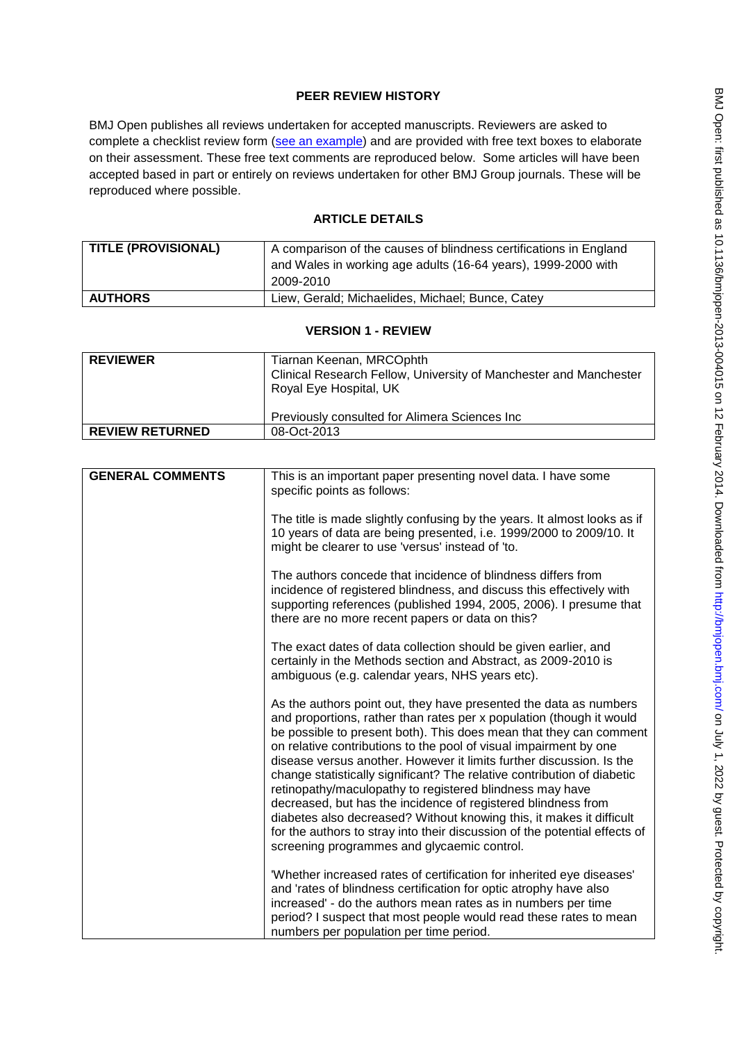# **PEER REVIEW HISTORY**

BMJ Open publishes all reviews undertaken for accepted manuscripts. Reviewers are asked to complete a checklist review form [\(see an example\)](http://bmjopen.bmj.com/site/about/resources/ScholarOne_Manuscripts.pdf) and are provided with free text boxes to elaborate on their assessment. These free text comments are reproduced below. Some articles will have been accepted based in part or entirely on reviews undertaken for other BMJ Group journals. These will be reproduced where possible.

# **ARTICLE DETAILS**

| <b>TITLE (PROVISIONAL)</b> | A comparison of the causes of blindness certifications in England          |
|----------------------------|----------------------------------------------------------------------------|
|                            | and Wales in working age adults (16-64 years), 1999-2000 with<br>2009-2010 |
| <b>AUTHORS</b>             | Liew, Gerald; Michaelides, Michael; Bunce, Catey                           |

### **VERSION 1 - REVIEW**

| <b>REVIEWER</b>        | Tiarnan Keenan, MRCOphth<br>Clinical Research Fellow, University of Manchester and Manchester<br>Royal Eye Hospital, UK |
|------------------------|-------------------------------------------------------------------------------------------------------------------------|
|                        | Previously consulted for Alimera Sciences Inc                                                                           |
| <b>REVIEW RETURNED</b> | 08-Oct-2013                                                                                                             |

| <b>GENERAL COMMENTS</b> | This is an important paper presenting novel data. I have some<br>specific points as follows:                                                                                                                                                                                                                                                                                                                                                                                                                                                                                                                                                                                                                                                                              |
|-------------------------|---------------------------------------------------------------------------------------------------------------------------------------------------------------------------------------------------------------------------------------------------------------------------------------------------------------------------------------------------------------------------------------------------------------------------------------------------------------------------------------------------------------------------------------------------------------------------------------------------------------------------------------------------------------------------------------------------------------------------------------------------------------------------|
|                         | The title is made slightly confusing by the years. It almost looks as if<br>10 years of data are being presented, i.e. 1999/2000 to 2009/10. It<br>might be clearer to use 'versus' instead of 'to.                                                                                                                                                                                                                                                                                                                                                                                                                                                                                                                                                                       |
|                         | The authors concede that incidence of blindness differs from<br>incidence of registered blindness, and discuss this effectively with<br>supporting references (published 1994, 2005, 2006). I presume that<br>there are no more recent papers or data on this?                                                                                                                                                                                                                                                                                                                                                                                                                                                                                                            |
|                         | The exact dates of data collection should be given earlier, and<br>certainly in the Methods section and Abstract, as 2009-2010 is<br>ambiguous (e.g. calendar years, NHS years etc).                                                                                                                                                                                                                                                                                                                                                                                                                                                                                                                                                                                      |
|                         | As the authors point out, they have presented the data as numbers<br>and proportions, rather than rates per x population (though it would<br>be possible to present both). This does mean that they can comment<br>on relative contributions to the pool of visual impairment by one<br>disease versus another. However it limits further discussion. Is the<br>change statistically significant? The relative contribution of diabetic<br>retinopathy/maculopathy to registered blindness may have<br>decreased, but has the incidence of registered blindness from<br>diabetes also decreased? Without knowing this, it makes it difficult<br>for the authors to stray into their discussion of the potential effects of<br>screening programmes and glycaemic control. |
|                         | 'Whether increased rates of certification for inherited eye diseases'<br>and 'rates of blindness certification for optic atrophy have also<br>increased' - do the authors mean rates as in numbers per time<br>period? I suspect that most people would read these rates to mean<br>numbers per population per time period.                                                                                                                                                                                                                                                                                                                                                                                                                                               |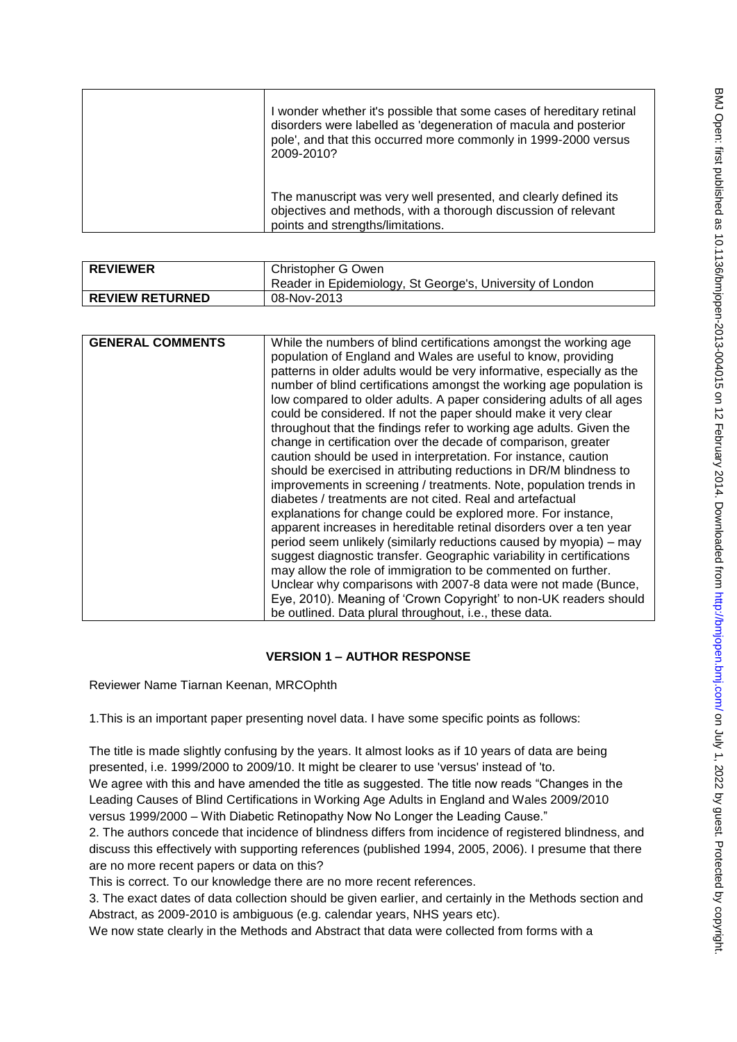| BMJ Open: first published as 10.1136/bmjopen-2013-004015 on 12 February 2014. Downloaded from http://bmjop |
|------------------------------------------------------------------------------------------------------------|
|                                                                                                            |
|                                                                                                            |
|                                                                                                            |
|                                                                                                            |
|                                                                                                            |
|                                                                                                            |
|                                                                                                            |
|                                                                                                            |
|                                                                                                            |
|                                                                                                            |
|                                                                                                            |
|                                                                                                            |
|                                                                                                            |
|                                                                                                            |
|                                                                                                            |
|                                                                                                            |
|                                                                                                            |
|                                                                                                            |
|                                                                                                            |
|                                                                                                            |
|                                                                                                            |
|                                                                                                            |
|                                                                                                            |
|                                                                                                            |
|                                                                                                            |
|                                                                                                            |
| - TCTT < - Second                                                                                          |
|                                                                                                            |
|                                                                                                            |
|                                                                                                            |
|                                                                                                            |
|                                                                                                            |
|                                                                                                            |
| .<br>המונח למה למ<br>l                                                                                     |

| I wonder whether it's possible that some cases of hereditary retinal<br>disorders were labelled as 'degeneration of macula and posterior<br>pole', and that this occurred more commonly in 1999-2000 versus<br>2009-2010? |
|---------------------------------------------------------------------------------------------------------------------------------------------------------------------------------------------------------------------------|
| The manuscript was very well presented, and clearly defined its<br>objectives and methods, with a thorough discussion of relevant<br>points and strengths/limitations.                                                    |

| <b>REVIEWER</b>        | Christopher G Owen                                        |
|------------------------|-----------------------------------------------------------|
|                        | Reader in Epidemiology, St George's, University of London |
| <b>REVIEW RETURNED</b> | 08-Nov-2013                                               |

| <b>GENERAL COMMENTS</b> | While the numbers of blind certifications amongst the working age                                                                                                                                                                                                                                                                                                                                                                                                                                                                                                                                                                                                                                                                                                                                                                                                                                                                                                                                                                                                                                                                                                                                                                                                             |
|-------------------------|-------------------------------------------------------------------------------------------------------------------------------------------------------------------------------------------------------------------------------------------------------------------------------------------------------------------------------------------------------------------------------------------------------------------------------------------------------------------------------------------------------------------------------------------------------------------------------------------------------------------------------------------------------------------------------------------------------------------------------------------------------------------------------------------------------------------------------------------------------------------------------------------------------------------------------------------------------------------------------------------------------------------------------------------------------------------------------------------------------------------------------------------------------------------------------------------------------------------------------------------------------------------------------|
|                         | population of England and Wales are useful to know, providing<br>patterns in older adults would be very informative, especially as the<br>number of blind certifications amongst the working age population is<br>low compared to older adults. A paper considering adults of all ages<br>could be considered. If not the paper should make it very clear<br>throughout that the findings refer to working age adults. Given the<br>change in certification over the decade of comparison, greater<br>caution should be used in interpretation. For instance, caution<br>should be exercised in attributing reductions in DR/M blindness to<br>improvements in screening / treatments. Note, population trends in<br>diabetes / treatments are not cited. Real and artefactual<br>explanations for change could be explored more. For instance,<br>apparent increases in hereditable retinal disorders over a ten year<br>period seem unlikely (similarly reductions caused by myopia) – may<br>suggest diagnostic transfer. Geographic variability in certifications<br>may allow the role of immigration to be commented on further.<br>Unclear why comparisons with 2007-8 data were not made (Bunce,<br>Eye, 2010). Meaning of 'Crown Copyright' to non-UK readers should |
|                         | be outlined. Data plural throughout, i.e., these data.                                                                                                                                                                                                                                                                                                                                                                                                                                                                                                                                                                                                                                                                                                                                                                                                                                                                                                                                                                                                                                                                                                                                                                                                                        |

## **VERSION 1 – AUTHOR RESPONSE**

Reviewer Name Tiarnan Keenan, MRCOphth

1.This is an important paper presenting novel data. I have some specific points as follows:

The title is made slightly confusing by the years. It almost looks as if 10 years of data are being presented, i.e. 1999/2000 to 2009/10. It might be clearer to use 'versus' instead of 'to. We agree with this and have amended the title as suggested. The title now reads "Changes in the Leading Causes of Blind Certifications in Working Age Adults in England and Wales 2009/2010 versus 1999/2000 – With Diabetic Retinopathy Now No Longer the Leading Cause."

2. The authors concede that incidence of blindness differs from incidence of registered blindness, and discuss this effectively with supporting references (published 1994, 2005, 2006). I presume that there are no more recent papers or data on this?

This is correct. To our knowledge there are no more recent references.

3. The exact dates of data collection should be given earlier, and certainly in the Methods section and Abstract, as 2009-2010 is ambiguous (e.g. calendar years, NHS years etc).

We now state clearly in the Methods and Abstract that data were collected from forms with a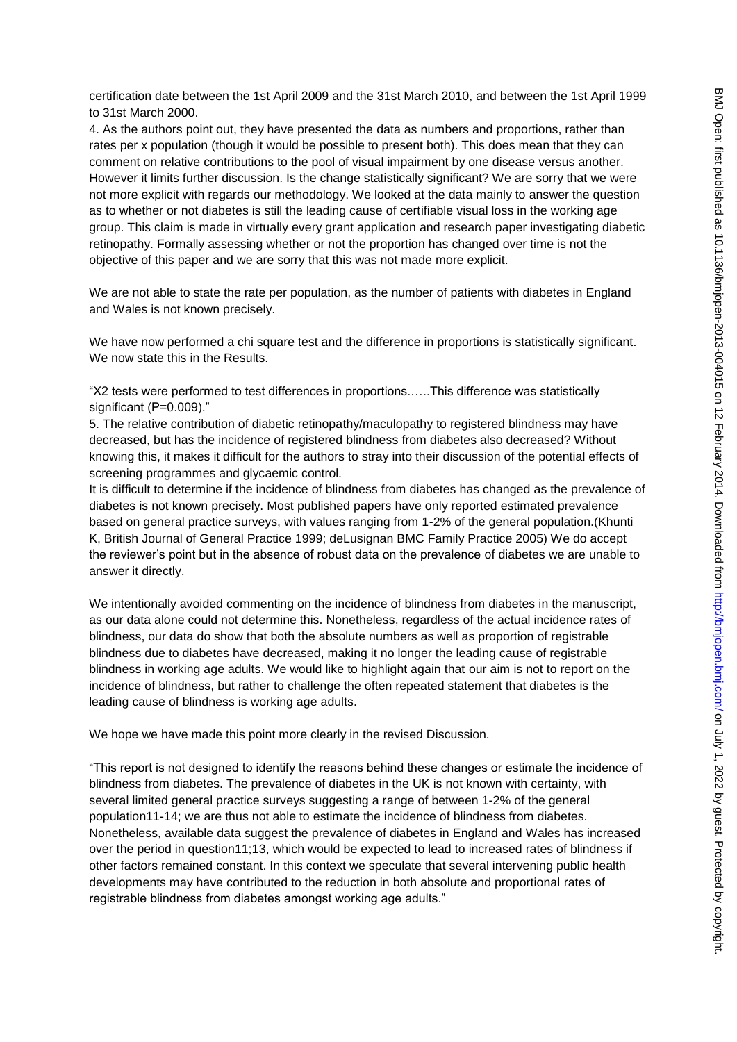certification date between the 1st April 2009 and the 31st March 2010, and between the 1st April 1999 to 31st March 2000.

4. As the authors point out, they have presented the data as numbers and proportions, rather than rates per x population (though it would be possible to present both). This does mean that they can comment on relative contributions to the pool of visual impairment by one disease versus another. However it limits further discussion. Is the change statistically significant? We are sorry that we were not more explicit with regards our methodology. We looked at the data mainly to answer the question as to whether or not diabetes is still the leading cause of certifiable visual loss in the working age group. This claim is made in virtually every grant application and research paper investigating diabetic retinopathy. Formally assessing whether or not the proportion has changed over time is not the objective of this paper and we are sorry that this was not made more explicit.

We are not able to state the rate per population, as the number of patients with diabetes in England and Wales is not known precisely.

We have now performed a chi square test and the difference in proportions is statistically significant. We now state this in the Results.

"Χ2 tests were performed to test differences in proportions.…..This difference was statistically significant (P=0.009)."

5. The relative contribution of diabetic retinopathy/maculopathy to registered blindness may have decreased, but has the incidence of registered blindness from diabetes also decreased? Without knowing this, it makes it difficult for the authors to stray into their discussion of the potential effects of screening programmes and glycaemic control.

It is difficult to determine if the incidence of blindness from diabetes has changed as the prevalence of diabetes is not known precisely. Most published papers have only reported estimated prevalence based on general practice surveys, with values ranging from 1-2% of the general population.(Khunti K, British Journal of General Practice 1999; deLusignan BMC Family Practice 2005) We do accept the reviewer"s point but in the absence of robust data on the prevalence of diabetes we are unable to answer it directly.

We intentionally avoided commenting on the incidence of blindness from diabetes in the manuscript, as our data alone could not determine this. Nonetheless, regardless of the actual incidence rates of blindness, our data do show that both the absolute numbers as well as proportion of registrable blindness due to diabetes have decreased, making it no longer the leading cause of registrable blindness in working age adults. We would like to highlight again that our aim is not to report on the incidence of blindness, but rather to challenge the often repeated statement that diabetes is the leading cause of blindness is working age adults.

We hope we have made this point more clearly in the revised Discussion.

"This report is not designed to identify the reasons behind these changes or estimate the incidence of blindness from diabetes. The prevalence of diabetes in the UK is not known with certainty, with several limited general practice surveys suggesting a range of between 1-2% of the general population11-14; we are thus not able to estimate the incidence of blindness from diabetes. Nonetheless, available data suggest the prevalence of diabetes in England and Wales has increased over the period in question11;13, which would be expected to lead to increased rates of blindness if other factors remained constant. In this context we speculate that several intervening public health developments may have contributed to the reduction in both absolute and proportional rates of registrable blindness from diabetes amongst working age adults."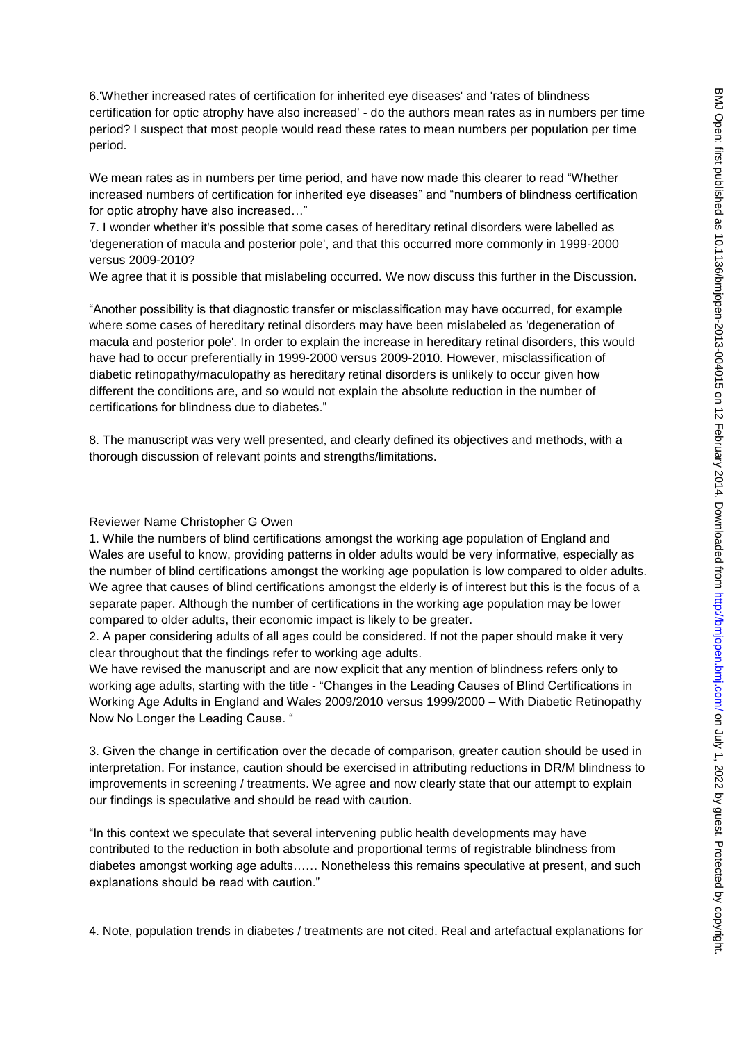6.'Whether increased rates of certification for inherited eye diseases' and 'rates of blindness certification for optic atrophy have also increased' - do the authors mean rates as in numbers per time period? I suspect that most people would read these rates to mean numbers per population per time period.

We mean rates as in numbers per time period, and have now made this clearer to read "Whether increased numbers of certification for inherited eye diseases" and "numbers of blindness certification for optic atrophy have also increased…"

7. I wonder whether it's possible that some cases of hereditary retinal disorders were labelled as 'degeneration of macula and posterior pole', and that this occurred more commonly in 1999-2000 versus 2009-2010?

We agree that it is possible that mislabeling occurred. We now discuss this further in the Discussion.

"Another possibility is that diagnostic transfer or misclassification may have occurred, for example where some cases of hereditary retinal disorders may have been mislabeled as 'degeneration of macula and posterior pole'. In order to explain the increase in hereditary retinal disorders, this would have had to occur preferentially in 1999-2000 versus 2009-2010. However, misclassification of diabetic retinopathy/maculopathy as hereditary retinal disorders is unlikely to occur given how different the conditions are, and so would not explain the absolute reduction in the number of certifications for blindness due to diabetes."

8. The manuscript was very well presented, and clearly defined its objectives and methods, with a thorough discussion of relevant points and strengths/limitations.

Reviewer Name Christopher G Owen

1. While the numbers of blind certifications amongst the working age population of England and Wales are useful to know, providing patterns in older adults would be very informative, especially as the number of blind certifications amongst the working age population is low compared to older adults. We agree that causes of blind certifications amongst the elderly is of interest but this is the focus of a separate paper. Although the number of certifications in the working age population may be lower compared to older adults, their economic impact is likely to be greater.

2. A paper considering adults of all ages could be considered. If not the paper should make it very clear throughout that the findings refer to working age adults.

We have revised the manuscript and are now explicit that any mention of blindness refers only to working age adults, starting with the title - "Changes in the Leading Causes of Blind Certifications in Working Age Adults in England and Wales 2009/2010 versus 1999/2000 – With Diabetic Retinopathy Now No Longer the Leading Cause. "

3. Given the change in certification over the decade of comparison, greater caution should be used in interpretation. For instance, caution should be exercised in attributing reductions in DR/M blindness to improvements in screening / treatments. We agree and now clearly state that our attempt to explain our findings is speculative and should be read with caution.

"In this context we speculate that several intervening public health developments may have contributed to the reduction in both absolute and proportional terms of registrable blindness from diabetes amongst working age adults…… Nonetheless this remains speculative at present, and such explanations should be read with caution."

4. Note, population trends in diabetes / treatments are not cited. Real and artefactual explanations for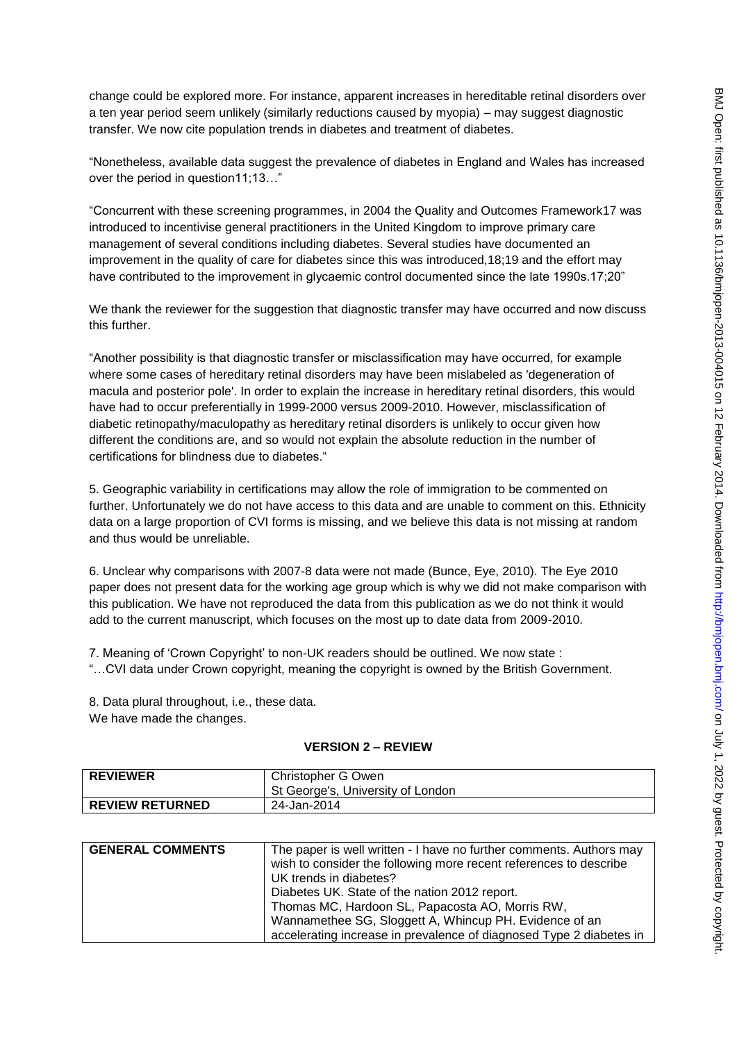change could be explored more. For instance, apparent increases in hereditable retinal disorders over a ten year period seem unlikely (similarly reductions caused by myopia) – may suggest diagnostic transfer. We now cite population trends in diabetes and treatment of diabetes.

"Nonetheless, available data suggest the prevalence of diabetes in England and Wales has increased over the period in question11;13…"

"Concurrent with these screening programmes, in 2004 the Quality and Outcomes Framework17 was introduced to incentivise general practitioners in the United Kingdom to improve primary care management of several conditions including diabetes. Several studies have documented an improvement in the quality of care for diabetes since this was introduced,18;19 and the effort may have contributed to the improvement in glycaemic control documented since the late 1990s.17;20"

We thank the reviewer for the suggestion that diagnostic transfer may have occurred and now discuss this further.

"Another possibility is that diagnostic transfer or misclassification may have occurred, for example where some cases of hereditary retinal disorders may have been mislabeled as 'degeneration of macula and posterior pole'. In order to explain the increase in hereditary retinal disorders, this would have had to occur preferentially in 1999-2000 versus 2009-2010. However, misclassification of diabetic retinopathy/maculopathy as hereditary retinal disorders is unlikely to occur given how different the conditions are, and so would not explain the absolute reduction in the number of certifications for blindness due to diabetes."

5. Geographic variability in certifications may allow the role of immigration to be commented on further. Unfortunately we do not have access to this data and are unable to comment on this. Ethnicity data on a large proportion of CVI forms is missing, and we believe this data is not missing at random and thus would be unreliable.

6. Unclear why comparisons with 2007-8 data were not made (Bunce, Eye, 2010). The Eye 2010 paper does not present data for the working age group which is why we did not make comparison with this publication. We have not reproduced the data from this publication as we do not think it would add to the current manuscript, which focuses on the most up to date data from 2009-2010.

7. Meaning of "Crown Copyright" to non-UK readers should be outlined. We now state :

"…CVI data under Crown copyright, meaning the copyright is owned by the British Government.

8. Data plural throughout, i.e., these data. We have made the changes.

#### **VERSION 2 – REVIEW**

| <b>REVIEWER</b>        | Christopher G Owen<br>St George's, University of London |
|------------------------|---------------------------------------------------------|
| <b>REVIEW RETURNED</b> | 24-Jan-2014                                             |

| <b>GENERAL COMMENTS</b> | The paper is well written - I have no further comments. Authors may<br>wish to consider the following more recent references to describe<br>UK trends in diabetes? |
|-------------------------|--------------------------------------------------------------------------------------------------------------------------------------------------------------------|
|                         | Diabetes UK. State of the nation 2012 report.<br>Thomas MC, Hardoon SL, Papacosta AO, Morris RW,                                                                   |
|                         | Wannamethee SG, Sloggett A, Whincup PH. Evidence of an<br>accelerating increase in prevalence of diagnosed Type 2 diabetes in                                      |